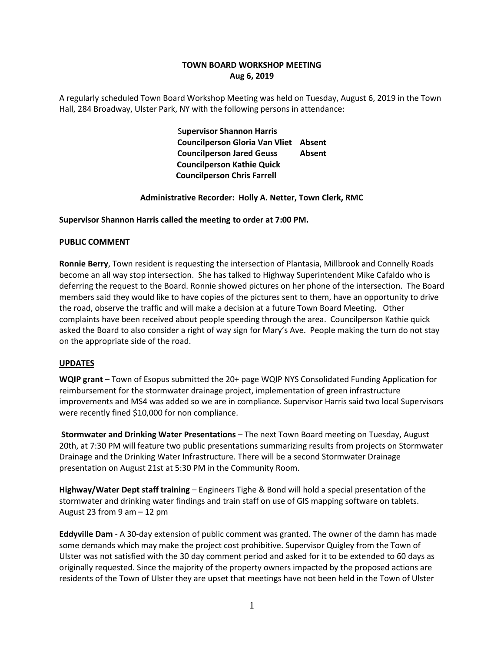# **TOWN BOARD WORKSHOP MEETING Aug 6, 2019**

A regularly scheduled Town Board Workshop Meeting was held on Tuesday, August 6, 2019 in the Town Hall, 284 Broadway, Ulster Park, NY with the following persons in attendance:

> S**upervisor Shannon Harris Councilperson Gloria Van Vliet Absent Councilperson Jared Geuss Absent Councilperson Kathie Quick Councilperson Chris Farrell**

## **Administrative Recorder: Holly A. Netter, Town Clerk, RMC**

#### **Supervisor Shannon Harris called the meeting to order at 7:00 PM.**

#### **PUBLIC COMMENT**

**Ronnie Berry**, Town resident is requesting the intersection of Plantasia, Millbrook and Connelly Roads become an all way stop intersection. She has talked to Highway Superintendent Mike Cafaldo who is deferring the request to the Board. Ronnie showed pictures on her phone of the intersection. The Board members said they would like to have copies of the pictures sent to them, have an opportunity to drive the road, observe the traffic and will make a decision at a future Town Board Meeting. Other complaints have been received about people speeding through the area. Councilperson Kathie quick asked the Board to also consider a right of way sign for Mary's Ave. People making the turn do not stay on the appropriate side of the road.

#### **UPDATES**

**WQIP grant** – Town of Esopus submitted the 20+ page WQIP NYS Consolidated Funding Application for reimbursement for the stormwater drainage project, implementation of green infrastructure improvements and MS4 was added so we are in compliance. Supervisor Harris said two local Supervisors were recently fined \$10,000 for non compliance.

**Stormwater and Drinking Water Presentations** – The next Town Board meeting on Tuesday, August 20th, at 7:30 PM will feature two public presentations summarizing results from projects on Stormwater Drainage and the Drinking Water Infrastructure. There will be a second Stormwater Drainage presentation on August 21st at 5:30 PM in the Community Room.

**Highway/Water Dept staff training** – Engineers Tighe & Bond will hold a special presentation of the stormwater and drinking water findings and train staff on use of GIS mapping software on tablets. August 23 from 9 am – 12 pm

**Eddyville Dam** - A 30-day extension of public comment was granted. The owner of the damn has made some demands which may make the project cost prohibitive. Supervisor Quigley from the Town of Ulster was not satisfied with the 30 day comment period and asked for it to be extended to 60 days as originally requested. Since the majority of the property owners impacted by the proposed actions are residents of the Town of Ulster they are upset that meetings have not been held in the Town of Ulster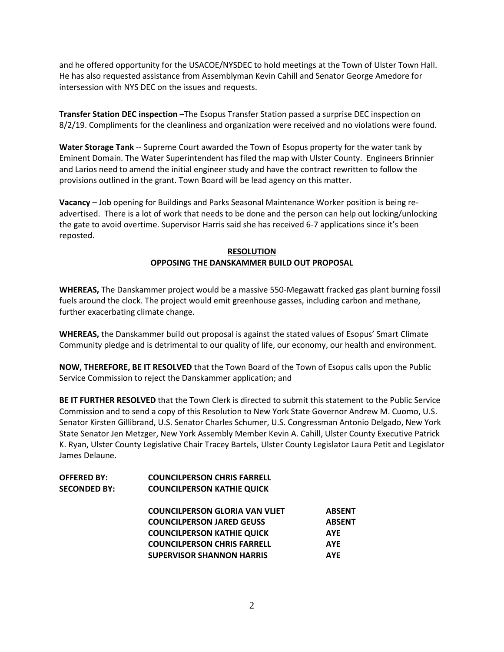and he offered opportunity for the USACOE/NYSDEC to hold meetings at the Town of Ulster Town Hall. He has also requested assistance from Assemblyman Kevin Cahill and Senator George Amedore for intersession with NYS DEC on the issues and requests.

**Transfer Station DEC inspection** –The Esopus Transfer Station passed a surprise DEC inspection on 8/2/19. Compliments for the cleanliness and organization were received and no violations were found.

**Water Storage Tank** -- Supreme Court awarded the Town of Esopus property for the water tank by Eminent Domain. The Water Superintendent has filed the map with Ulster County. Engineers Brinnier and Larios need to amend the initial engineer study and have the contract rewritten to follow the provisions outlined in the grant. Town Board will be lead agency on this matter.

**Vacancy** – Job opening for Buildings and Parks Seasonal Maintenance Worker position is being readvertised. There is a lot of work that needs to be done and the person can help out locking/unlocking the gate to avoid overtime. Supervisor Harris said she has received 6-7 applications since it's been reposted.

# **RESOLUTION OPPOSING THE DANSKAMMER BUILD OUT PROPOSAL**

**WHEREAS,** The Danskammer project would be a massive 550-Megawatt fracked gas plant burning fossil fuels around the clock. The project would emit greenhouse gasses, including carbon and methane, further exacerbating climate change.

**WHEREAS,** the Danskammer build out proposal is against the stated values of Esopus' Smart Climate Community pledge and is detrimental to our quality of life, our economy, our health and environment.

**NOW, THEREFORE, BE IT RESOLVED** that the Town Board of the Town of Esopus calls upon the Public Service Commission to reject the Danskammer application; and

**BE IT FURTHER RESOLVED** that the Town Clerk is directed to submit this statement to the Public Service Commission and to send a copy of this Resolution to New York State Governor Andrew M. Cuomo, U.S. Senator Kirsten Gillibrand, U.S. Senator Charles Schumer, U.S. Congressman Antonio Delgado, New York State Senator Jen Metzger, New York Assembly Member Kevin A. Cahill, Ulster County Executive Patrick K. Ryan, Ulster County Legislative Chair Tracey Bartels, Ulster County Legislator Laura Petit and Legislator James Delaune.

| <b>OFFERED BY:</b>  | <b>COUNCILPERSON CHRIS FARRELL</b>    |               |
|---------------------|---------------------------------------|---------------|
| <b>SECONDED BY:</b> | <b>COUNCILPERSON KATHIE QUICK</b>     |               |
|                     | <b>COUNCILPERSON GLORIA VAN VLIET</b> | <b>ABSENT</b> |
|                     | <b>COUNCILPERSON JARED GEUSS</b>      | <b>ABSENT</b> |
|                     | <b>COUNCILPERSON KATHIE QUICK</b>     | <b>AYE</b>    |
|                     | <b>COUNCILPERSON CHRIS FARRELL</b>    | <b>AYE</b>    |
|                     | <b>SUPERVISOR SHANNON HARRIS</b>      | <b>AYE</b>    |
|                     |                                       |               |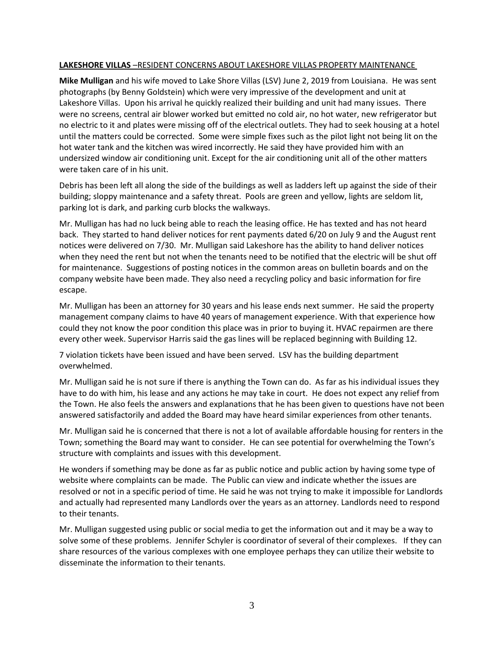## **LAKESHORE VILLAS** –RESIDENT CONCERNS ABOUT LAKESHORE VILLAS PROPERTY MAINTENANCE

**Mike Mulligan** and his wife moved to Lake Shore Villas (LSV) June 2, 2019 from Louisiana. He was sent photographs (by Benny Goldstein) which were very impressive of the development and unit at Lakeshore Villas. Upon his arrival he quickly realized their building and unit had many issues. There were no screens, central air blower worked but emitted no cold air, no hot water, new refrigerator but no electric to it and plates were missing off of the electrical outlets. They had to seek housing at a hotel until the matters could be corrected. Some were simple fixes such as the pilot light not being lit on the hot water tank and the kitchen was wired incorrectly. He said they have provided him with an undersized window air conditioning unit. Except for the air conditioning unit all of the other matters were taken care of in his unit.

Debris has been left all along the side of the buildings as well as ladders left up against the side of their building; sloppy maintenance and a safety threat. Pools are green and yellow, lights are seldom lit, parking lot is dark, and parking curb blocks the walkways.

Mr. Mulligan has had no luck being able to reach the leasing office. He has texted and has not heard back. They started to hand deliver notices for rent payments dated 6/20 on July 9 and the August rent notices were delivered on 7/30. Mr. Mulligan said Lakeshore has the ability to hand deliver notices when they need the rent but not when the tenants need to be notified that the electric will be shut off for maintenance. Suggestions of posting notices in the common areas on bulletin boards and on the company website have been made. They also need a recycling policy and basic information for fire escape.

Mr. Mulligan has been an attorney for 30 years and his lease ends next summer. He said the property management company claims to have 40 years of management experience. With that experience how could they not know the poor condition this place was in prior to buying it. HVAC repairmen are there every other week. Supervisor Harris said the gas lines will be replaced beginning with Building 12.

7 violation tickets have been issued and have been served. LSV has the building department overwhelmed.

Mr. Mulligan said he is not sure if there is anything the Town can do. As far as his individual issues they have to do with him, his lease and any actions he may take in court. He does not expect any relief from the Town. He also feels the answers and explanations that he has been given to questions have not been answered satisfactorily and added the Board may have heard similar experiences from other tenants.

Mr. Mulligan said he is concerned that there is not a lot of available affordable housing for renters in the Town; something the Board may want to consider. He can see potential for overwhelming the Town's structure with complaints and issues with this development.

He wonders if something may be done as far as public notice and public action by having some type of website where complaints can be made. The Public can view and indicate whether the issues are resolved or not in a specific period of time. He said he was not trying to make it impossible for Landlords and actually had represented many Landlords over the years as an attorney. Landlords need to respond to their tenants.

Mr. Mulligan suggested using public or social media to get the information out and it may be a way to solve some of these problems. Jennifer Schyler is coordinator of several of their complexes. If they can share resources of the various complexes with one employee perhaps they can utilize their website to disseminate the information to their tenants.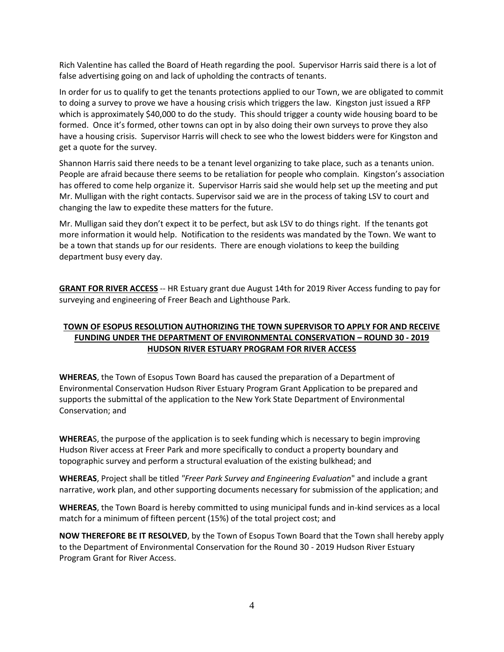Rich Valentine has called the Board of Heath regarding the pool. Supervisor Harris said there is a lot of false advertising going on and lack of upholding the contracts of tenants.

In order for us to qualify to get the tenants protections applied to our Town, we are obligated to commit to doing a survey to prove we have a housing crisis which triggers the law. Kingston just issued a RFP which is approximately \$40,000 to do the study. This should trigger a county wide housing board to be formed. Once it's formed, other towns can opt in by also doing their own surveys to prove they also have a housing crisis. Supervisor Harris will check to see who the lowest bidders were for Kingston and get a quote for the survey.

Shannon Harris said there needs to be a tenant level organizing to take place, such as a tenants union. People are afraid because there seems to be retaliation for people who complain. Kingston's association has offered to come help organize it. Supervisor Harris said she would help set up the meeting and put Mr. Mulligan with the right contacts. Supervisor said we are in the process of taking LSV to court and changing the law to expedite these matters for the future.

Mr. Mulligan said they don't expect it to be perfect, but ask LSV to do things right. If the tenants got more information it would help. Notification to the residents was mandated by the Town. We want to be a town that stands up for our residents. There are enough violations to keep the building department busy every day.

**GRANT FOR RIVER ACCESS** -- HR Estuary grant due August 14th for 2019 River Access funding to pay for surveying and engineering of Freer Beach and Lighthouse Park.

# **TOWN OF ESOPUS RESOLUTION AUTHORIZING THE TOWN SUPERVISOR TO APPLY FOR AND RECEIVE FUNDING UNDER THE DEPARTMENT OF ENVIRONMENTAL CONSERVATION – ROUND 30 - 2019 HUDSON RIVER ESTUARY PROGRAM FOR RIVER ACCESS**

**WHEREAS**, the Town of Esopus Town Board has caused the preparation of a Department of Environmental Conservation Hudson River Estuary Program Grant Application to be prepared and supports the submittal of the application to the New York State Department of Environmental Conservation; and

**WHEREA**S, the purpose of the application is to seek funding which is necessary to begin improving Hudson River access at Freer Park and more specifically to conduct a property boundary and topographic survey and perform a structural evaluation of the existing bulkhead; and

**WHEREAS**, Project shall be titled *"Freer Park Survey and Engineering Evaluation*" and include a grant narrative, work plan, and other supporting documents necessary for submission of the application; and

**WHEREAS**, the Town Board is hereby committed to using municipal funds and in-kind services as a local match for a minimum of fifteen percent (15%) of the total project cost; and

**NOW THEREFORE BE IT RESOLVED**, by the Town of Esopus Town Board that the Town shall hereby apply to the Department of Environmental Conservation for the Round 30 - 2019 Hudson River Estuary Program Grant for River Access.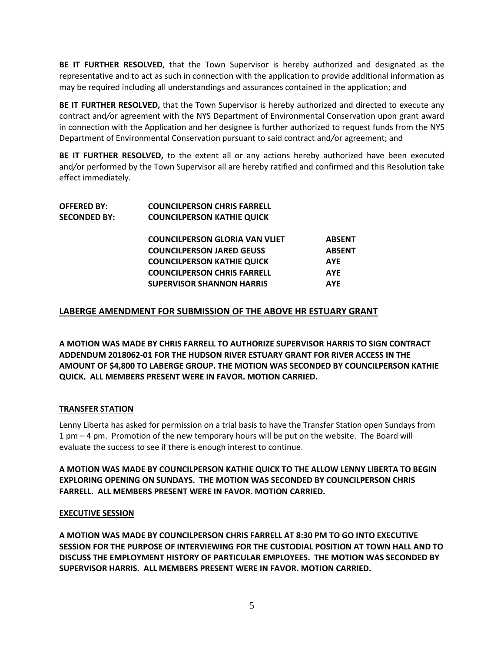**BE IT FURTHER RESOLVED**, that the Town Supervisor is hereby authorized and designated as the representative and to act as such in connection with the application to provide additional information as may be required including all understandings and assurances contained in the application; and

**BE IT FURTHER RESOLVED,** that the Town Supervisor is hereby authorized and directed to execute any contract and*/*or agreement with the NYS Department of Environmental Conservation upon grant award in connection with the Application and her designee is further authorized to request funds from the NYS Department of Environmental Conservation pursuant to said contract and*/*or agreement; and

**BE IT FURTHER RESOLVED,** to the extent all or any actions hereby authorized have been executed and*/*or performed by the Town Supervisor all are hereby ratified and confirmed and this Resolution take effect immediately.

| <b>OFFERED BY:</b>  | <b>COUNCILPERSON CHRIS FARRELL</b>    |               |
|---------------------|---------------------------------------|---------------|
| <b>SECONDED BY:</b> | <b>COUNCILPERSON KATHIE QUICK</b>     |               |
|                     | <b>COUNCILPERSON GLORIA VAN VLIET</b> | <b>ABSENT</b> |
|                     | <b>COUNCILPERSON JARED GEUSS</b>      | <b>ABSENT</b> |
|                     | <b>COUNCILPERSON KATHIE QUICK</b>     | <b>AYE</b>    |
|                     | <b>COUNCILPERSON CHRIS FARRELL</b>    | <b>AYE</b>    |
|                     | <b>SUPERVISOR SHANNON HARRIS</b>      | <b>AYE</b>    |
|                     |                                       |               |

# **LABERGE AMENDMENT FOR SUBMISSION OF THE ABOVE HR ESTUARY GRANT**

**A MOTION WAS MADE BY CHRIS FARRELL TO AUTHORIZE SUPERVISOR HARRIS TO SIGN CONTRACT ADDENDUM 2018062-01 FOR THE HUDSON RIVER ESTUARY GRANT FOR RIVER ACCESS IN THE AMOUNT OF \$4,800 TO LABERGE GROUP. THE MOTION WAS SECONDED BY COUNCILPERSON KATHIE QUICK. ALL MEMBERS PRESENT WERE IN FAVOR. MOTION CARRIED.** 

## **TRANSFER STATION**

Lenny Liberta has asked for permission on a trial basis to have the Transfer Station open Sundays from 1 pm – 4 pm. Promotion of the new temporary hours will be put on the website. The Board will evaluate the success to see if there is enough interest to continue.

**A MOTION WAS MADE BY COUNCILPERSON KATHIE QUICK TO THE ALLOW LENNY LIBERTA TO BEGIN EXPLORING OPENING ON SUNDAYS. THE MOTION WAS SECONDED BY COUNCILPERSON CHRIS FARRELL. ALL MEMBERS PRESENT WERE IN FAVOR. MOTION CARRIED.** 

## **EXECUTIVE SESSION**

**A MOTION WAS MADE BY COUNCILPERSON CHRIS FARRELL AT 8:30 PM TO GO INTO EXECUTIVE SESSION FOR THE PURPOSE OF INTERVIEWING FOR THE CUSTODIAL POSITION AT TOWN HALL AND TO DISCUSS THE EMPLOYMENT HISTORY OF PARTICULAR EMPLOYEES. THE MOTION WAS SECONDED BY SUPERVISOR HARRIS. ALL MEMBERS PRESENT WERE IN FAVOR. MOTION CARRIED.**